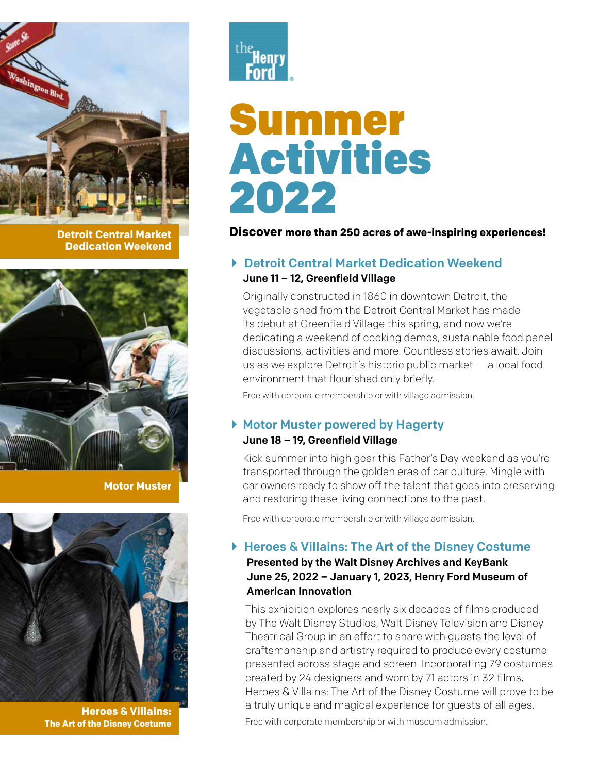

**Detroit Central Market Dedication Weekend**



**Motor Muster** 



**Heroes & Villains: The Art of the Disney Costume**



# Summer Activities 2022

## **Discover more than 250 acres of awe-inspiring experiences!**

## ▶ Detroit Central Market Dedication Weekend June 11 – 12, Greenfield Village

 Originally constructed in 1860 in downtown Detroit, the vegetable shed from the Detroit Central Market has made its debut at Greenfield Village this spring, and now we're dedicating a weekend of cooking demos, sustainable food panel discussions, activities and more. Countless stories await. Join us as we explore Detroit's historic public market — a local food environment that flourished only briefly.

Free with corporate membership or with village admission.

## ▶ Motor Muster powered by Hagerty

### June 18 – 19, Greenfield Village

 Kick summer into high gear this Father's Day weekend as you're transported through the golden eras of car culture. Mingle with car owners ready to show off the talent that goes into preserving and restoring these living connections to the past.

Free with corporate membership or with village admission.

## ▶ Heroes & Villains: The Art of the Disney Costume

## Presented by the Walt Disney Archives and KeyBank June 25, 2022 – January 1, 2023, Henry Ford Museum of American Innovation

This exhibition explores nearly six decades of films produced by The Walt Disney Studios, Walt Disney Television and Disney Theatrical Group in an effort to share with guests the level of craftsmanship and artistry required to produce every costume presented across stage and screen. Incorporating 79 costumes created by 24 designers and worn by 71 actors in 32 films, Heroes & Villains: The Art of the Disney Costume will prove to be a truly unique and magical experience for guests of all ages.

Free with corporate membership or with museum admission.